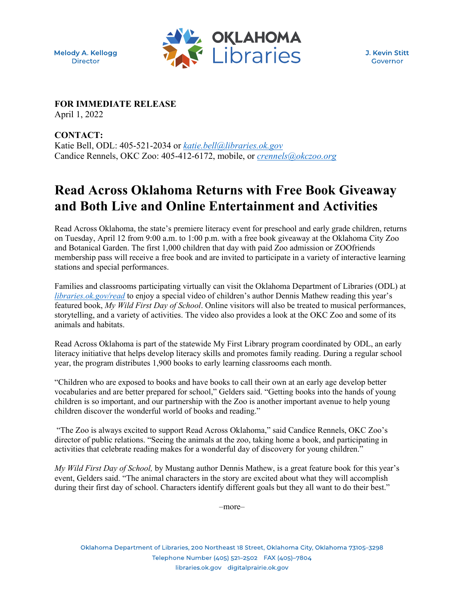Melody A. Kellogg **Director** 



J. Kevin Stitt Governor

**FOR IMMEDIATE RELEASE**

April 1, 2022

**CONTACT:** Katie Bell, ODL: 405-521-2034 or *[katie.bell@libraries.ok.gov](mailto:katie.bell@libraries.ok.gov)* Candice Rennels, OKC Zoo: 405-412-6172, mobile, or *[crennels@okczoo.org](mailto:crennels@okczoo.org)*

## **Read Across Oklahoma Returns with Free Book Giveaway and Both Live and Online Entertainment and Activities**

Read Across Oklahoma, the state's premiere literacy event for preschool and early grade children, returns on Tuesday, April 12 from 9:00 a.m. to 1:00 p.m. with a free book giveaway at the Oklahoma City Zoo and Botanical Garden. The first 1,000 children that day with paid Zoo admission or ZOOfriends membership pass will receive a free book and are invited to participate in a variety of interactive learning stations and special performances.

Families and classrooms participating virtually can visit the Oklahoma Department of Libraries (ODL) at *[libraries.ok.gov/read](https://odl.oklibshare.org/read/)* to enjoy a special video of children's author Dennis Mathew reading this year's featured book, *My Wild First Day of School*. Online visitors will also be treated to musical performances, storytelling, and a variety of activities. The video also provides a look at the OKC Zoo and some of its animals and habitats.

Read Across Oklahoma is part of the statewide My First Library program coordinated by ODL, an early literacy initiative that helps develop literacy skills and promotes family reading. During a regular school year, the program distributes 1,900 books to early learning classrooms each month.

"Children who are exposed to books and have books to call their own at an early age develop better vocabularies and are better prepared for school," Gelders said. "Getting books into the hands of young children is so important, and our partnership with the Zoo is another important avenue to help young children discover the wonderful world of books and reading."

"The Zoo is always excited to support Read Across Oklahoma," said Candice Rennels, OKC Zoo's director of public relations. "Seeing the animals at the zoo, taking home a book, and participating in activities that celebrate reading makes for a wonderful day of discovery for young children."

*My Wild First Day of School,* by Mustang author Dennis Mathew, is a great feature book for this year's event, Gelders said. "The animal characters in the story are excited about what they will accomplish during their first day of school. Characters identify different goals but they all want to do their best."

–more–

Oklahoma Department of Libraries, 200 Northeast 18 Street, Oklahoma City, Oklahoma 73105-3298 Telephone Number (405) 521-2502 FAX (405)-7804 libraries.ok.gov digitalprairie.ok.gov